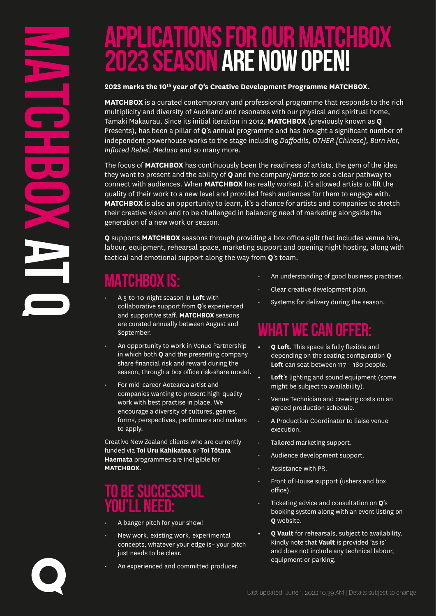# **APPLICATIONS FOR OUR MATCHBOX 2023 SEASON ARE NOW OPEN!**

#### 2023 marks the 10<sup>th</sup> year of Q's Creative Development Programme MATCHBOX.

**MATCHBOX** is a curated contemporary and professional programme that responds to the rich multiplicity and diversity of Auckland and resonates with our physical and spiritual home, Tāmaki Makaurau. Since its initial iteration in 2012, **MATCHBOX** (previously known as **Q** Presents), has been a pillar of **Q**'s annual programme and has brought a significant number of independent powerhouse works to the stage including *Daffodils, OTHER [Chinese], Burn Her, Inflated Rebel, Medusa* and so many more.

The focus of **MATCHBOX** has continuously been the readiness of artists, the gem of the idea they want to present and the ability of **Q** and the company/artist to see a clear pathway to connect with audiences. When **MATCHBOX** has really worked, it's allowed artists to lift the quality of their work to a new level and provided fresh audiences for them to engage with. **MATCHBOX** is also an opportunity to learn, it's a chance for artists and companies to stretch their creative vision and to be challenged in balancing need of marketing alongside the generation of a new work or season.

**Q** supports **MATCHBOX** seasons through providing a box office split that includes venue hire, labour, equipment, rehearsal space, marketing support and opening night hosting, along with tactical and emotional support along the way from **Q**'s team.

# **MATCHBOX is:**

- A 5-to-10-night season in **Loft** with collaborative support from **Q**'s experienced and supportive staff. **MATCHBOX** seasons are curated annually between August and September.
- An opportunity to work in Venue Partnership in which both **Q** and the presenting company share financial risk and reward during the season, through a box office risk-share model.
- For mid-career Aotearoa artist and companies wanting to present high-quality work with best practise in place. We encourage a diversity of cultures, genres, forms, perspectives, performers and makers to apply.

Creative New Zealand clients who are currently funded via **Toi Uru Kahikatea** or **Toi Tōtara Haemata** programmes are ineligible for **MATCHBOX**.

#### **TO BE SUCCESSFUL YOU'LL NEED:**

- A banger pitch for your show!
- New work, existing work, experimental concepts, whatever your edge is– your pitch just needs to be clear.
- An experienced and committed producer.
- An understanding of good business practices.
- Clear creative development plan.
- Systems for delivery during the season.

## **WHAT WE CAN OFFER:**

- **• Q Loft**. This space is fully flexible and depending on the seating configuration **Q Loft** can seat between 117 – 180 people.
- **• Loft**'s lighting and sound equipment (some might be subject to availability).
- Venue Technician and crewing costs on an agreed production schedule.
- A Production Coordinator to liaise venue execution.
- Tailored marketing support.
- Audience development support.
- Assistance with PR.
- Front of House support (ushers and box office).
- Ticketing advice and consultation on **Q**'s booking system along with an event listing on **Q** website.
- **• Q Vault** for rehearsals, subject to availability. Kindly note that **Vault** is provided 'as is' and does not include any technical labour, equipment or parking.